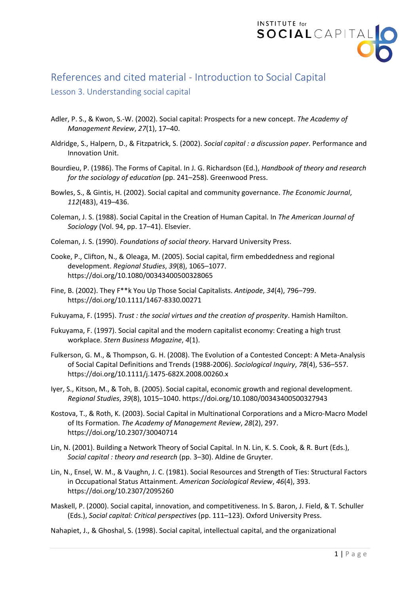

## References and cited material - Introduction to Social Capital

## Lesson 3. Understanding social capital

- Adler, P. S., & Kwon, S.-W. (2002). Social capital: Prospects for a new concept. *The Academy of Management Review*, *27*(1), 17–40.
- Aldridge, S., Halpern, D., & Fitzpatrick, S. (2002). *Social capital : a discussion paper*. Performance and Innovation Unit.
- Bourdieu, P. (1986). The Forms of Capital. In J. G. Richardson (Ed.), *Handbook of theory and research for the sociology of education* (pp. 241–258). Greenwood Press.
- Bowles, S., & Gintis, H. (2002). Social capital and community governance. *The Economic Journal*, *112*(483), 419–436.
- Coleman, J. S. (1988). Social Capital in the Creation of Human Capital. In *The American Journal of Sociology* (Vol. 94, pp. 17–41). Elsevier.
- Coleman, J. S. (1990). *Foundations of social theory*. Harvard University Press.
- Cooke, P., Clifton, N., & Oleaga, M. (2005). Social capital, firm embeddedness and regional development. *Regional Studies*, *39*(8), 1065–1077. https://doi.org/10.1080/00343400500328065
- Fine, B. (2002). They F\*\*k You Up Those Social Capitalists. *Antipode*, *34*(4), 796–799. https://doi.org/10.1111/1467-8330.00271
- Fukuyama, F. (1995). *Trust : the social virtues and the creation of prosperity*. Hamish Hamilton.
- Fukuyama, F. (1997). Social capital and the modern capitalist economy: Creating a high trust workplace. *Stern Business Magazine*, *4*(1).
- Fulkerson, G. M., & Thompson, G. H. (2008). The Evolution of a Contested Concept: A Meta-Analysis of Social Capital Definitions and Trends (1988-2006). *Sociological Inquiry*, *78*(4), 536–557. https://doi.org/10.1111/j.1475-682X.2008.00260.x
- Iyer, S., Kitson, M., & Toh, B. (2005). Social capital, economic growth and regional development. *Regional Studies*, *39*(8), 1015–1040. https://doi.org/10.1080/00343400500327943
- Kostova, T., & Roth, K. (2003). Social Capital in Multinational Corporations and a Micro-Macro Model of Its Formation. *The Academy of Management Review*, *28*(2), 297. https://doi.org/10.2307/30040714
- Lin, N. (2001). Building a Network Theory of Social Capital. In N. Lin, K. S. Cook, & R. Burt (Eds.), *Social capital : theory and research* (pp. 3–30). Aldine de Gruyter.
- Lin, N., Ensel, W. M., & Vaughn, J. C. (1981). Social Resources and Strength of Ties: Structural Factors in Occupational Status Attainment. *American Sociological Review*, *46*(4), 393. https://doi.org/10.2307/2095260
- Maskell, P. (2000). Social capital, innovation, and competitiveness. In S. Baron, J. Field, & T. Schuller (Eds.), *Social capital: Critical perspectives* (pp. 111–123). Oxford University Press.
- Nahapiet, J., & Ghoshal, S. (1998). Social capital, intellectual capital, and the organizational